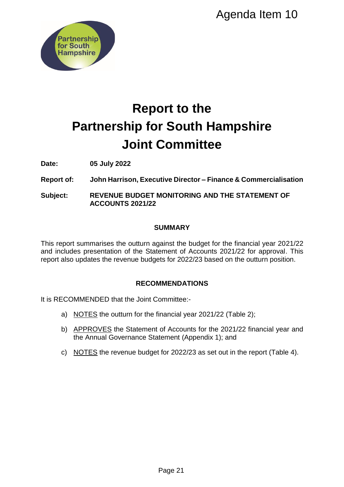

# **Report to the Partnership for South Hampshire Joint Committee** Agenda Item 10<br> **Propertive Committee**<br> **Committee**<br>
<br> **Example 2011 Agency Commercialisatic**<br>
<br> **EXEMPLY Agency Commercial Strategies Agency Commercial Strategies (SUPING 2021/22 for approval. The<br>
Burnary and the divideo**

**Date: 05 July 2022**

**Report of: John Harrison, Executive Director – Finance & Commercialisation**

**Subject: REVENUE BUDGET MONITORING AND THE STATEMENT OF ACCOUNTS 2021/22**

# **SUMMARY**

This report summarises the outturn against the budget for the financial year 2021/22 and includes presentation of the Statement of Accounts 2021/22 for approval. This report also updates the revenue budgets for 2022/23 based on the outturn position.

# **RECOMMENDATIONS**

It is RECOMMENDED that the Joint Committee:-

- a) NOTES the outturn for the financial year 2021/22 (Table 2);
- b) APPROVES the Statement of Accounts for the 2021/22 financial year and the Annual Governance Statement (Appendix 1); and
- c) NOTES the revenue budget for 2022/23 as set out in the report (Table 4).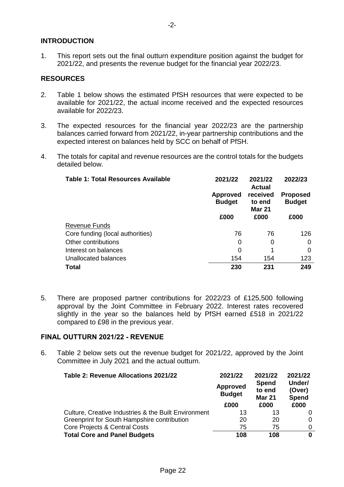# **INTRODUCTION**

1. This report sets out the final outturn expenditure position against the budget for 2021/22, and presents the revenue budget for the financial year 2022/23.

# **RESOURCES**

- 2. Table 1 below shows the estimated PfSH resources that were expected to be available for 2021/22, the actual income received and the expected resources available for 2022/23.
- 3. The expected resources for the financial year 2022/23 are the partnership balances carried forward from 2021/22, in-year partnership contributions and the expected interest on balances held by SCC on behalf of PfSH.
- 4. The totals for capital and revenue resources are the control totals for the budgets detailed below.

| <b>Table 1: Total Resources Available</b> | 2021/22                          | 2021/22<br><b>Actual</b>            | 2022/23                          |
|-------------------------------------------|----------------------------------|-------------------------------------|----------------------------------|
|                                           | <b>Approved</b><br><b>Budget</b> | received<br>to end<br><b>Mar 21</b> | <b>Proposed</b><br><b>Budget</b> |
|                                           | £000                             | £000                                | £000                             |
| <b>Revenue Funds</b>                      |                                  |                                     |                                  |
| Core funding (local authorities)          | 76                               | 76                                  | 126                              |
| Other contributions                       | 0                                | 0                                   | 0                                |
| Interest on balances                      | 0                                |                                     | 0                                |
| Unallocated balances                      | 154                              | 154                                 | 123                              |
| <b>Total</b>                              | 230                              | 231                                 | 249                              |

5. There are proposed partner contributions for 2022/23 of £125,500 following approval by the Joint Committee in February 2022. Interest rates recovered slightly in the year so the balances held by PfSH earned £518 in 2021/22 compared to £98 in the previous year.

#### **FINAL OUTTURN 2021/22 - REVENUE**

6. Table 2 below sets out the revenue budget for 2021/22, approved by the Joint Committee in July 2021 and the actual outturn.

| Table 2: Revenue Allocations 2021/22                 | 2021/22<br><b>Approved</b><br><b>Budget</b> | 2021/22<br><b>Spend</b><br>to end<br><b>Mar 21</b> | 2021/22<br>Under/<br>(Over)<br><b>Spend</b> |
|------------------------------------------------------|---------------------------------------------|----------------------------------------------------|---------------------------------------------|
|                                                      | £000                                        | £000                                               | £000                                        |
| Culture, Creative Industries & the Built Environment | 13                                          | 13                                                 | 0                                           |
| Greenprint for South Hampshire contribution          | 20                                          | 20                                                 | 0                                           |
| Core Projects & Central Costs                        | 75                                          | 75                                                 | 0                                           |
| <b>Total Core and Panel Budgets</b>                  | 108                                         | 108                                                | 0                                           |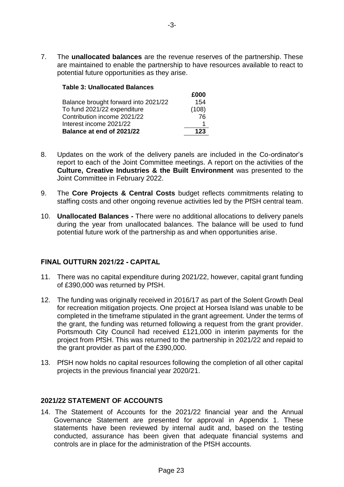7. The **unallocated balances** are the revenue reserves of the partnership. These are maintained to enable the partnership to have resources available to react to potential future opportunities as they arise.

| <b>Table 3: Unallocated Balances</b> |       |  |  |
|--------------------------------------|-------|--|--|
|                                      | £000  |  |  |
| Balance brought forward into 2021/22 | 154   |  |  |
| To fund 2021/22 expenditure          | (108) |  |  |
| Contribution income 2021/22          | 76    |  |  |
| Interest income 2021/22              |       |  |  |
| Balance at end of 2021/22            | 123   |  |  |

- 8. Updates on the work of the delivery panels are included in the Co-ordinator's report to each of the Joint Committee meetings. A report on the activities of the **Culture, Creative Industries & the Built Environment** was presented to the Joint Committee in February 2022.
- 9. The **Core Projects & Central Costs** budget reflects commitments relating to staffing costs and other ongoing revenue activities led by the PfSH central team.
- 10. **Unallocated Balances -** There were no additional allocations to delivery panels during the year from unallocated balances. The balance will be used to fund potential future work of the partnership as and when opportunities arise.

# **FINAL OUTTURN 2021/22 - CAPITAL**

- 11. There was no capital expenditure during 2021/22, however, capital grant funding of £390,000 was returned by PfSH.
- 12. The funding was originally received in 2016/17 as part of the Solent Growth Deal for recreation mitigation projects. One project at Horsea Island was unable to be completed in the timeframe stipulated in the grant agreement. Under the terms of the grant, the funding was returned following a request from the grant provider. Portsmouth City Council had received £121,000 in interim payments for the project from PfSH. This was returned to the partnership in 2021/22 and repaid to the grant provider as part of the £390,000.
- 13. PfSH now holds no capital resources following the completion of all other capital projects in the previous financial year 2020/21.

# **2021/22 STATEMENT OF ACCOUNTS**

14. The Statement of Accounts for the 2021/22 financial year and the Annual Governance Statement are presented for approval in Appendix 1. These statements have been reviewed by internal audit and, based on the testing conducted, assurance has been given that adequate financial systems and controls are in place for the administration of the PfSH accounts.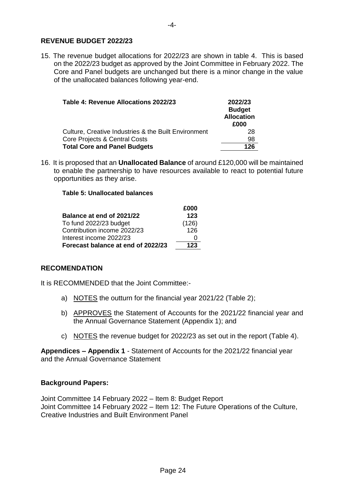# **REVENUE BUDGET 2022/23**

15. The revenue budget allocations for 2022/23 are shown in table 4. This is based on the 2022/23 budget as approved by the Joint Committee in February 2022. The Core and Panel budgets are unchanged but there is a minor change in the value of the unallocated balances following year-end.

| Table 4: Revenue Allocations 2022/23                 | 2022/23<br><b>Budget</b><br><b>Allocation</b><br>£000 |
|------------------------------------------------------|-------------------------------------------------------|
| Culture, Creative Industries & the Built Environment | 28                                                    |
| Core Projects & Central Costs                        | 98                                                    |
| <b>Total Core and Panel Budgets</b>                  | 126                                                   |

16. It is proposed that an **Unallocated Balance** of around £120,000 will be maintained to enable the partnership to have resources available to react to potential future opportunities as they arise.

#### **Table 5: Unallocated balances**

|                                    | £000  |
|------------------------------------|-------|
| Balance at end of 2021/22          | 123   |
| To fund 2022/23 budget             | (126) |
| Contribution income 2022/23        | 126   |
| Interest income 2022/23            |       |
| Forecast balance at end of 2022/23 | 123   |

#### **RECOMENDATION**

It is RECOMMENDED that the Joint Committee:-

- a) NOTES the outturn for the financial year 2021/22 (Table 2);
- b) APPROVES the Statement of Accounts for the 2021/22 financial year and the Annual Governance Statement (Appendix 1); and
- c) NOTES the revenue budget for 2022/23 as set out in the report (Table 4).

**Appendices – Appendix 1** - Statement of Accounts for the 2021/22 financial year and the Annual Governance Statement

#### **Background Papers:**

Joint Committee 14 February 2022 – Item 8: Budget Report Joint Committee 14 February 2022 – Item 12: The Future Operations of the Culture, Creative Industries and Built Environment Panel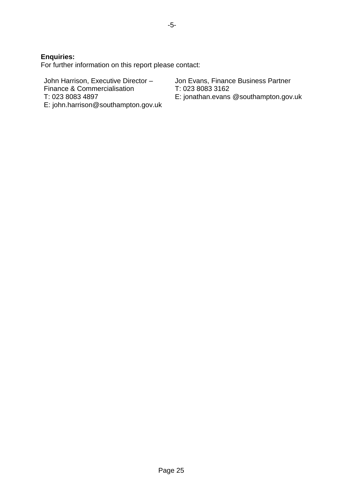**Enquiries:** 

For further information on this report please contact:

John Harrison, Executive Director – Finance & Commercialisation T: 023 8083 4897 E: john.harrison@southampton.gov.uk Jon Evans, Finance Business Partner T: 023 8083 3162

E: jonathan.evans @southampton.gov.uk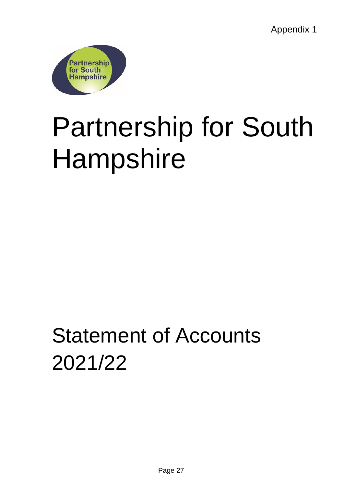Appendix 1



# Partnership for South Hampshire

# Statement of Accounts 2021/22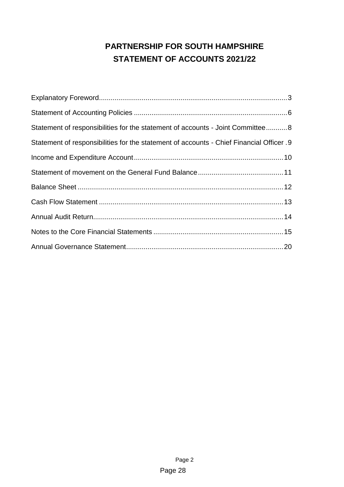# **PARTNERSHIP FOR SOUTH HAMPSHIRE STATEMENT OF ACCOUNTS 2021/22**

| Statement of responsibilities for the statement of accounts - Joint Committee 8          |
|------------------------------------------------------------------------------------------|
| Statement of responsibilities for the statement of accounts - Chief Financial Officer .9 |
|                                                                                          |
|                                                                                          |
|                                                                                          |
|                                                                                          |
|                                                                                          |
|                                                                                          |
|                                                                                          |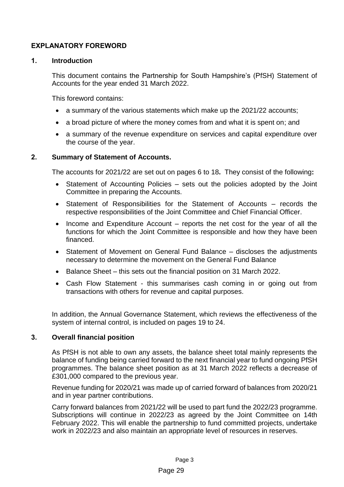# <span id="page-8-0"></span>**EXPLANATORY FOREWORD**

# **1. Introduction**

This document contains the Partnership for South Hampshire's (PfSH) Statement of Accounts for the year ended 31 March 2022.

This foreword contains:

- a summary of the various statements which make up the 2021/22 accounts;
- a broad picture of where the money comes from and what it is spent on; and
- a summary of the revenue expenditure on services and capital expenditure over the course of the year.

# **2. Summary of Statement of Accounts.**

The accounts for 2021/22 are set out on pages 6 to 18**.** They consist of the following**:**

- Statement of Accounting Policies sets out the policies adopted by the Joint Committee in preparing the Accounts.
- Statement of Responsibilities for the Statement of Accounts records the respective responsibilities of the Joint Committee and Chief Financial Officer.
- Income and Expenditure Account reports the net cost for the year of all the functions for which the Joint Committee is responsible and how they have been financed.
- Statement of Movement on General Fund Balance discloses the adjustments necessary to determine the movement on the General Fund Balance
- Balance Sheet this sets out the financial position on 31 March 2022.
- Cash Flow Statement this summarises cash coming in or going out from transactions with others for revenue and capital purposes.

In addition, the Annual Governance Statement, which reviews the effectiveness of the system of internal control, is included on pages 19 to 24.

# **3. Overall financial position**

As PfSH is not able to own any assets, the balance sheet total mainly represents the balance of funding being carried forward to the next financial year to fund ongoing PfSH programmes. The balance sheet position as at 31 March 2022 reflects a decrease of £301,000 compared to the previous year.

Revenue funding for 2020/21 was made up of carried forward of balances from 2020/21 and in year partner contributions.

Carry forward balances from 2021/22 will be used to part fund the 2022/23 programme. Subscriptions will continue in 2022/23 as agreed by the Joint Committee on 14th February 2022. This will enable the partnership to fund committed projects, undertake work in 2022/23 and also maintain an appropriate level of resources in reserves.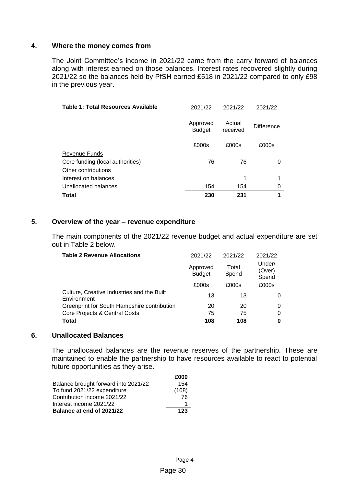# **4. Where the money comes from**

The Joint Committee's income in 2021/22 came from the carry forward of balances along with interest earned on those balances. Interest rates recovered slightly during 2021/22 so the balances held by PfSH earned £518 in 2021/22 compared to only £98 in the previous year.

| Table 1: Total Resources Available | 2021/22                   | 2021/22            | 2021/22           |
|------------------------------------|---------------------------|--------------------|-------------------|
|                                    | Approved<br><b>Budget</b> | Actual<br>received | <b>Difference</b> |
|                                    | £000s                     | £000s              | £000s             |
| <b>Revenue Funds</b>               |                           |                    |                   |
| Core funding (local authorities)   | 76                        | 76                 | 0                 |
| Other contributions                |                           |                    |                   |
| Interest on balances               |                           | 1                  |                   |
| Unallocated balances               | 154                       | 154                | 0                 |
| Total                              | 230                       | 231                | 1                 |

# **5. Overview of the year – revenue expenditure**

The main components of the 2021/22 revenue budget and actual expenditure are set out in Table 2 below.

| <b>Table 2 Revenue Allocations</b>                        | 2021/22                   | 2021/22        | 2021/22                   |
|-----------------------------------------------------------|---------------------------|----------------|---------------------------|
|                                                           | Approved<br><b>Budget</b> | Total<br>Spend | Under/<br>(Over)<br>Spend |
|                                                           | £000s                     | £000s          | £000s                     |
| Culture, Creative Industries and the Built<br>Environment | 13                        | 13             |                           |
| Greenprint for South Hampshire contribution               | 20                        | 20             | 0                         |
| Core Projects & Central Costs                             | 75                        | 75             | 0                         |
| Total                                                     | 108                       | 108            | 0                         |

# **6. Unallocated Balances**

The unallocated balances are the revenue reserves of the partnership. These are maintained to enable the partnership to have resources available to react to potential future opportunities as they arise.

|                                      | £000  |
|--------------------------------------|-------|
| Balance brought forward into 2021/22 | 154   |
| To fund 2021/22 expenditure          | (108) |
| Contribution income 2021/22          | 76    |
| Interest income 2021/22              |       |
| Balance at end of 2021/22            | 123   |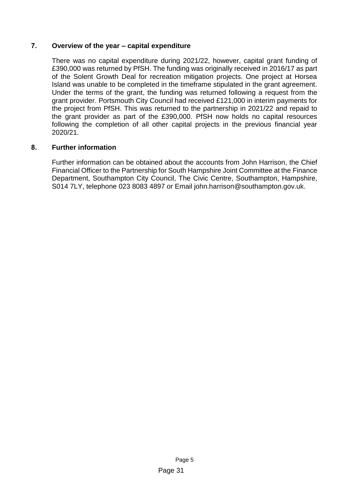# **7. Overview of the year – capital expenditure**

There was no capital expenditure during 2021/22, however, capital grant funding of £390,000 was returned by PfSH. The funding was originally received in 2016/17 as part of the Solent Growth Deal for recreation mitigation projects. One project at Horsea Island was unable to be completed in the timeframe stipulated in the grant agreement. Under the terms of the grant, the funding was returned following a request from the grant provider. Portsmouth City Council had received £121,000 in interim payments for the project from PfSH. This was returned to the partnership in 2021/22 and repaid to the grant provider as part of the £390,000. PfSH now holds no capital resources following the completion of all other capital projects in the previous financial year 2020/21.

# **8. Further information**

Further information can be obtained about the accounts from John Harrison, the Chief Financial Officer to the Partnership for South Hampshire Joint Committee at the Finance Department, Southampton City Council, The Civic Centre, Southampton, Hampshire, S014 7LY, telephone 023 8083 4897 or Email john.harrison@southampton.gov.uk.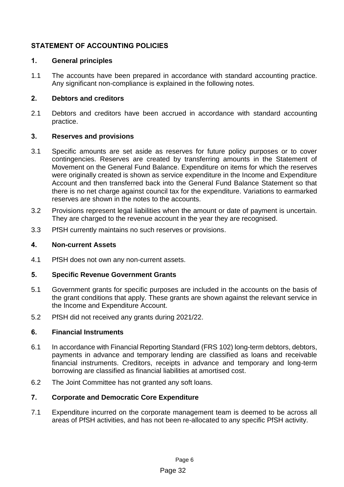# <span id="page-11-0"></span>**STATEMENT OF ACCOUNTING POLICIES**

# **1. General principles**

1.1 The accounts have been prepared in accordance with standard accounting practice. Any significant non-compliance is explained in the following notes.

# **2. Debtors and creditors**

2.1 Debtors and creditors have been accrued in accordance with standard accounting practice.

# **3. Reserves and provisions**

- 3.1 Specific amounts are set aside as reserves for future policy purposes or to cover contingencies. Reserves are created by transferring amounts in the Statement of Movement on the General Fund Balance. Expenditure on items for which the reserves were originally created is shown as service expenditure in the Income and Expenditure Account and then transferred back into the General Fund Balance Statement so that there is no net charge against council tax for the expenditure. Variations to earmarked reserves are shown in the notes to the accounts.
- 3.2 Provisions represent legal liabilities when the amount or date of payment is uncertain. They are charged to the revenue account in the year they are recognised.
- 3.3 PfSH currently maintains no such reserves or provisions.

# **4. Non-current Assets**

4.1 PfSH does not own any non-current assets.

# **5. Specific Revenue Government Grants**

- 5.1 Government grants for specific purposes are included in the accounts on the basis of the grant conditions that apply. These grants are shown against the relevant service in the Income and Expenditure Account.
- 5.2 PfSH did not received any grants during 2021/22.

# **6. Financial Instruments**

- 6.1 In accordance with Financial Reporting Standard (FRS 102) long-term debtors, debtors, payments in advance and temporary lending are classified as loans and receivable financial instruments. Creditors, receipts in advance and temporary and long-term borrowing are classified as financial liabilities at amortised cost.
- 6.2 The Joint Committee has not granted any soft loans.

# **7. Corporate and Democratic Core Expenditure**

7.1 Expenditure incurred on the corporate management team is deemed to be across all areas of PfSH activities, and has not been re-allocated to any specific PfSH activity.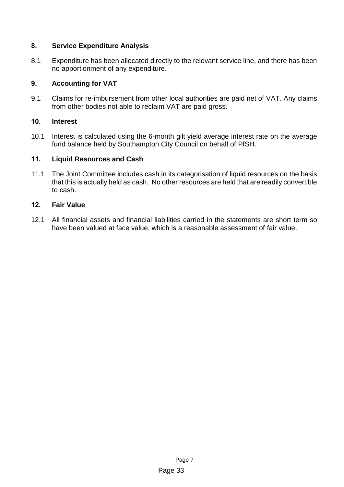# **8. Service Expenditure Analysis**

8.1 Expenditure has been allocated directly to the relevant service line, and there has been no apportionment of any expenditure.

# **9. Accounting for VAT**

9.1 Claims for re-imbursement from other local authorities are paid net of VAT. Any claims from other bodies not able to reclaim VAT are paid gross.

# **10. Interest**

10.1 Interest is calculated using the 6-month gilt yield average interest rate on the average fund balance held by Southampton City Council on behalf of PfSH.

# **11. Liquid Resources and Cash**

11.1 The Joint Committee includes cash in its categorisation of liquid resources on the basis that this is actually held as cash. No other resources are held that are readily convertible to cash.

# **12. Fair Value**

12.1 All financial assets and financial liabilities carried in the statements are short term so have been valued at face value, which is a reasonable assessment of fair value.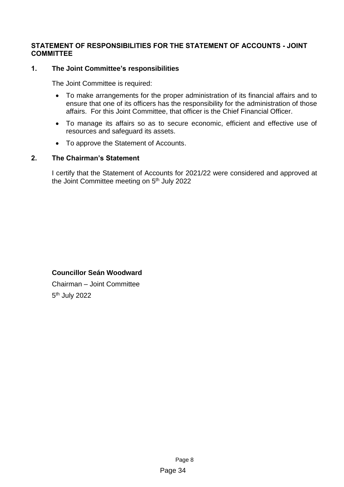# <span id="page-13-0"></span>**STATEMENT OF RESPONSIBILITIES FOR THE STATEMENT OF ACCOUNTS - JOINT COMMITTEE**

# **1. The Joint Committee's responsibilities**

The Joint Committee is required:

- To make arrangements for the proper administration of its financial affairs and to ensure that one of its officers has the responsibility for the administration of those affairs. For this Joint Committee, that officer is the Chief Financial Officer.
- To manage its affairs so as to secure economic, efficient and effective use of resources and safeguard its assets.
- To approve the Statement of Accounts.

# **2. The Chairman's Statement**

I certify that the Statement of Accounts for 2021/22 were considered and approved at the Joint Committee meeting on 5<sup>th</sup> July 2022

# **Councillor Seán Woodward**

Chairman – Joint Committee 5<sup>th</sup> July 2022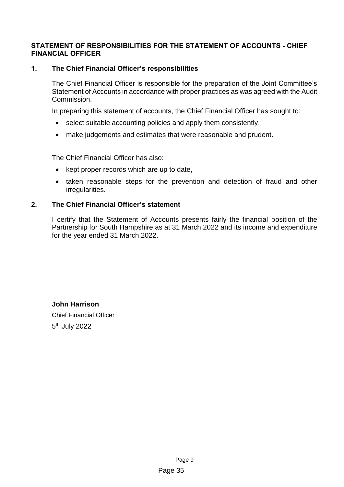# <span id="page-14-0"></span>**STATEMENT OF RESPONSIBILITIES FOR THE STATEMENT OF ACCOUNTS - CHIEF FINANCIAL OFFICER**

# **1. The Chief Financial Officer's responsibilities**

The Chief Financial Officer is responsible for the preparation of the Joint Committee's Statement of Accounts in accordance with proper practices as was agreed with the Audit Commission.

In preparing this statement of accounts, the Chief Financial Officer has sought to:

- select suitable accounting policies and apply them consistently,
- make judgements and estimates that were reasonable and prudent.

The Chief Financial Officer has also:

- kept proper records which are up to date,
- taken reasonable steps for the prevention and detection of fraud and other irregularities.

# **2. The Chief Financial Officer's statement**

I certify that the Statement of Accounts presents fairly the financial position of the Partnership for South Hampshire as at 31 March 2022 and its income and expenditure for the year ended 31 March 2022.

**John Harrison** Chief Financial Officer 5<sup>th</sup> July 2022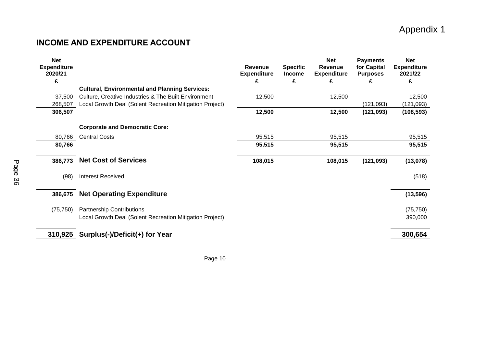# Appendix 1

# **INCOME AND EXPENDITURE ACCOUNT**

<span id="page-15-0"></span>

| <b>Net</b><br><b>Expenditure</b><br>2020/21 |                                                          | Revenue<br><b>Expenditure</b> | <b>Specific</b><br><b>Income</b> | <b>Net</b><br>Revenue<br><b>Expenditure</b> | <b>Payments</b><br>for Capital<br><b>Purposes</b> | <b>Net</b><br><b>Expenditure</b><br>2021/22 |
|---------------------------------------------|----------------------------------------------------------|-------------------------------|----------------------------------|---------------------------------------------|---------------------------------------------------|---------------------------------------------|
| £                                           |                                                          | £                             | £                                | £                                           | £                                                 | £                                           |
|                                             | <b>Cultural, Environmental and Planning Services:</b>    |                               |                                  |                                             |                                                   |                                             |
| 37.500                                      | Culture, Creative Industries & The Built Environment     | 12,500                        |                                  | 12,500                                      |                                                   | 12,500                                      |
| 268,507                                     | Local Growth Deal (Solent Recreation Mitigation Project) |                               |                                  |                                             | (121, 093)                                        | (121, 093)                                  |
| 306,507                                     |                                                          | 12,500                        |                                  | 12,500                                      | (121, 093)                                        | (108, 593)                                  |
|                                             |                                                          |                               |                                  |                                             |                                                   |                                             |
|                                             | <b>Corporate and Democratic Core:</b>                    |                               |                                  |                                             |                                                   |                                             |
| 80,766                                      | <b>Central Costs</b>                                     | 95,515                        |                                  | 95,515                                      |                                                   | 95,515                                      |
| 80,766                                      |                                                          | 95,515                        |                                  | 95,515                                      |                                                   | 95,515                                      |
| 386,773                                     | <b>Net Cost of Services</b>                              | 108,015                       |                                  | 108,015                                     | (121, 093)                                        | (13,078)                                    |
| (98)                                        | <b>Interest Received</b>                                 |                               |                                  |                                             |                                                   | (518)                                       |
| 386,675                                     | <b>Net Operating Expenditure</b>                         |                               |                                  |                                             |                                                   | (13, 596)                                   |
| (75, 750)                                   | <b>Partnership Contributions</b>                         |                               |                                  |                                             |                                                   | (75, 750)                                   |
|                                             | Local Growth Deal (Solent Recreation Mitigation Project) |                               |                                  |                                             |                                                   | 390,000                                     |
| 310,925                                     | Surplus(-)/Deficit(+) for Year                           |                               |                                  |                                             |                                                   | 300,654                                     |

Page 10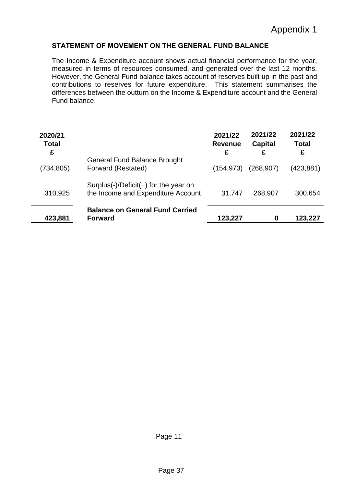# <span id="page-16-0"></span>**STATEMENT OF MOVEMENT ON THE GENERAL FUND BALANCE**

The Income & Expenditure account shows actual financial performance for the year, measured in terms of resources consumed, and generated over the last 12 months. However, the General Fund balance takes account of reserves built up in the past and contributions to reserves for future expenditure. This statement summarises the differences between the outturn on the Income & Expenditure account and the General Fund balance.

| 2020/21<br><b>Total</b><br>£ |                                                                             | 2021/22<br><b>Revenue</b><br>£ | 2021/22<br>Capital<br>£ | 2021/22<br><b>Total</b><br>£ |
|------------------------------|-----------------------------------------------------------------------------|--------------------------------|-------------------------|------------------------------|
| (734, 805)                   | <b>General Fund Balance Brought</b><br>Forward (Restated)                   | (154,973)                      | (268, 907)              | (423,881)                    |
| 310,925                      | Surplus(-)/Deficit(+) for the year on<br>the Income and Expenditure Account | 31,747                         | 268,907                 | 300,654                      |
| 423,881                      | <b>Balance on General Fund Carried</b><br><b>Forward</b>                    | 123,227                        | 0                       | 123,227                      |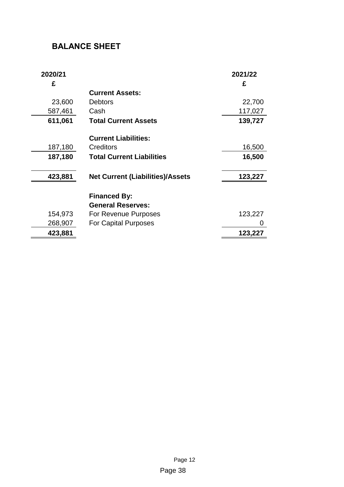# <span id="page-17-0"></span>**BALANCE SHEET**

<span id="page-17-1"></span>

| 2020/21<br>£ |                                         | 2021/22<br>£ |
|--------------|-----------------------------------------|--------------|
|              | <b>Current Assets:</b>                  |              |
| 23,600       | <b>Debtors</b>                          | 22,700       |
| 587,461      | Cash                                    | 117,027      |
| 611,061      | <b>Total Current Assets</b>             | 139,727      |
|              | <b>Current Liabilities:</b>             |              |
| 187,180      | Creditors                               | 16,500       |
| 187,180      | <b>Total Current Liabilities</b>        | 16,500       |
| 423,881      | <b>Net Current (Liabilities)/Assets</b> | 123,227      |
|              | <b>Financed By:</b>                     |              |
|              | <b>General Reserves:</b>                |              |
| 154,973      | For Revenue Purposes                    | 123,227      |
| 268,907      | <b>For Capital Purposes</b>             |              |
| 423,881      |                                         | 123,227      |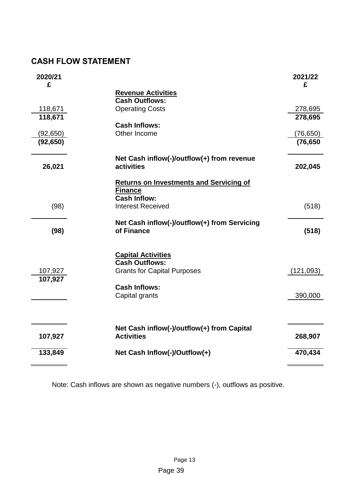# **CASH FLOW STATEMENT**

| 2020/21<br>£       |                                                    | 2021/22<br>£       |
|--------------------|----------------------------------------------------|--------------------|
|                    | <b>Revenue Activities</b>                          |                    |
|                    | <b>Cash Outflows:</b>                              |                    |
| 118,671<br>118,671 | <b>Operating Costs</b>                             | 278,695<br>278,695 |
|                    | <b>Cash Inflows:</b>                               |                    |
| (92, 650)          | Other Income                                       | (76,650)           |
| (92, 650)          |                                                    | (76, 650)          |
|                    | Net Cash inflow(-)/outflow(+) from revenue         |                    |
| 26,021             | activities                                         | 202,045            |
|                    | <b>Returns on Investments and Servicing of</b>     |                    |
|                    | <b>Finance</b><br><b>Cash Inflow:</b>              |                    |
| (98)               | <b>Interest Received</b>                           | (518)              |
|                    |                                                    |                    |
|                    | Net Cash inflow(-)/outflow(+) from Servicing       |                    |
| (98)               | of Finance                                         | (518)              |
|                    |                                                    |                    |
|                    | <b>Capital Activities</b><br><b>Cash Outflows:</b> |                    |
| 107,927            | <b>Grants for Capital Purposes</b>                 | (121, 093)         |
| 107,927            |                                                    |                    |
|                    | <b>Cash Inflows:</b>                               |                    |
|                    | Capital grants                                     | 390,000            |
|                    |                                                    |                    |
|                    | Net Cash inflow(-)/outflow(+) from Capital         |                    |
| 107,927            | <b>Activities</b>                                  | 268,907            |
| 133,849            | Net Cash Inflow(-)/Outflow(+)                      | 470,434            |
|                    |                                                    |                    |

Note: Cash inflows are shown as negative numbers (-), outflows as positive.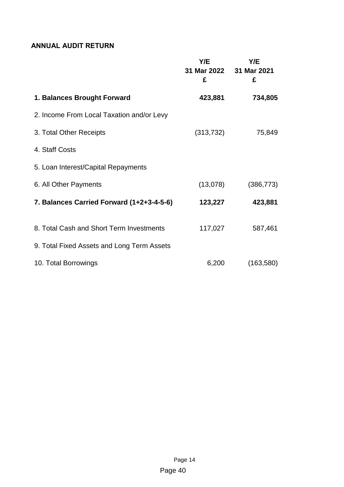# <span id="page-19-0"></span>**ANNUAL AUDIT RETURN**

|                                            | Y/E<br>£   | Y/E<br>31 Mar 2022 31 Mar 2021<br>£ |
|--------------------------------------------|------------|-------------------------------------|
| 1. Balances Brought Forward                | 423,881    | 734,805                             |
| 2. Income From Local Taxation and/or Levy  |            |                                     |
| 3. Total Other Receipts                    | (313, 732) | 75,849                              |
| 4. Staff Costs                             |            |                                     |
| 5. Loan Interest/Capital Repayments        |            |                                     |
| 6. All Other Payments                      | (13,078)   | (386, 773)                          |
| 7. Balances Carried Forward (1+2+3-4-5-6)  | 123,227    | 423,881                             |
| 8. Total Cash and Short Term Investments   | 117,027    | 587,461                             |
| 9. Total Fixed Assets and Long Term Assets |            |                                     |
| 10. Total Borrowings                       | 6,200      | (163, 580)                          |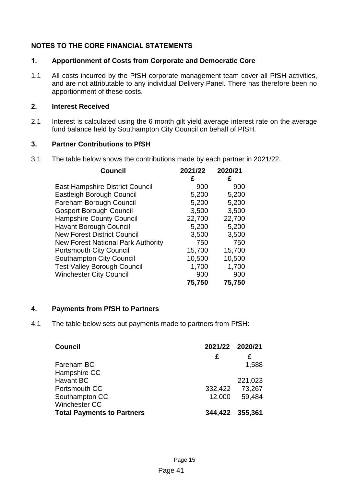# <span id="page-20-0"></span>**NOTES TO THE CORE FINANCIAL STATEMENTS**

# **1. Apportionment of Costs from Corporate and Democratic Core**

1.1 All costs incurred by the PfSH corporate management team cover all PfSH activities, and are not attributable to any individual Delivery Panel. There has therefore been no apportionment of these costs.

# **2. Interest Received**

2.1 Interest is calculated using the 6 month gilt yield average interest rate on the average fund balance held by Southampton City Council on behalf of PfSH.

# **3. Partner Contributions to PfSH**

3.1 The table below shows the contributions made by each partner in 2021/22.

| <b>Council</b>                            | 2021/22 | 2020/21 |
|-------------------------------------------|---------|---------|
|                                           | £       | £       |
| <b>East Hampshire District Council</b>    | 900     | 900     |
| <b>Eastleigh Borough Council</b>          | 5,200   | 5,200   |
| Fareham Borough Council                   | 5,200   | 5,200   |
| <b>Gosport Borough Council</b>            | 3,500   | 3,500   |
| <b>Hampshire County Council</b>           | 22,700  | 22,700  |
| <b>Havant Borough Council</b>             | 5,200   | 5,200   |
| <b>New Forest District Council</b>        | 3,500   | 3,500   |
| <b>New Forest National Park Authority</b> | 750     | 750     |
| <b>Portsmouth City Council</b>            | 15,700  | 15,700  |
| <b>Southampton City Council</b>           | 10,500  | 10,500  |
| <b>Test Valley Borough Council</b>        | 1,700   | 1,700   |
| <b>Winchester City Council</b>            | 900     | 900     |
|                                           | 75,750  | 75,750  |

# **4. Payments from PfSH to Partners**

4.1 The table below sets out payments made to partners from PfSH:

| <b>Council</b>                    | 2021/22 2020/21 |         |
|-----------------------------------|-----------------|---------|
|                                   | £               | £       |
| Fareham BC                        |                 | 1,588   |
| Hampshire CC                      |                 |         |
| Havant BC                         |                 | 221,023 |
| Portsmouth CC                     | 332,422         | 73,267  |
| Southampton CC                    | 12,000          | 59,484  |
| <b>Winchester CC</b>              |                 |         |
| <b>Total Payments to Partners</b> | 344,422 355,361 |         |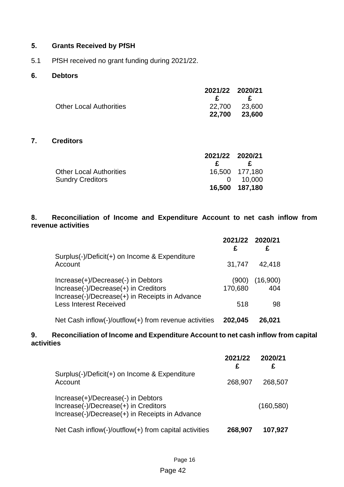# **5. Grants Received by PfSH**

5.1 PfSH received no grant funding during 2021/22.

# **6. Debtors**

|                                | 2021/22 2020/21 |               |
|--------------------------------|-----------------|---------------|
|                                |                 | $\mathbf{F}$  |
| <b>Other Local Authorities</b> |                 | 22,700 23,600 |
|                                |                 | 22,700 23,600 |

# **7. Creditors**

|                                | 2021/22 2020/21 |                  |
|--------------------------------|-----------------|------------------|
|                                | £.              | £                |
| <b>Other Local Authorities</b> |                 | 16,500 177,180   |
| <b>Sundry Creditors</b>        |                 | $0 \quad 10,000$ |
|                                |                 | 16,500 187,180   |

# **8. Reconciliation of Income and Expenditure Account to net cash inflow from revenue activities**

|                                                                                                                              | 2021/22 2020/21<br>£ | £               |
|------------------------------------------------------------------------------------------------------------------------------|----------------------|-----------------|
| Surplus(-)/Deficit(+) on Income & Expenditure<br>Account                                                                     | 31,747               | 42,418          |
| Increase(+)/Decrease(-) in Debtors<br>Increase(-)/Decrease(+) in Creditors<br>Increase(-)/Decrease(+) in Receipts in Advance | (900)<br>170,680     | (16,900)<br>404 |
| <b>Less Interest Received</b>                                                                                                | 518                  | 98              |
| Net Cash inflow(-)/outflow(+) from revenue activities                                                                        | 202,045              | 26,021          |

# **9. Reconciliation of Income and Expenditure Account to net cash inflow from capital activities**

|                                                                                                                              | 2021/22<br>£ | 2020/21<br>£ |
|------------------------------------------------------------------------------------------------------------------------------|--------------|--------------|
| Surplus(-)/Deficit(+) on Income & Expenditure<br>Account                                                                     | 268,907      | 268,507      |
| Increase(+)/Decrease(-) in Debtors<br>Increase(-)/Decrease(+) in Creditors<br>Increase(-)/Decrease(+) in Receipts in Advance |              | (160, 580)   |
| Net Cash inflow(-)/outflow(+) from capital activities                                                                        | 268,907      | 107,927      |

# Page 42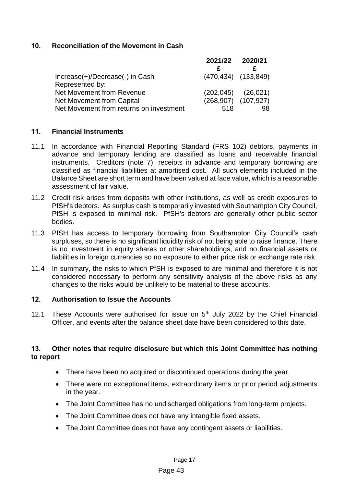# **10. Reconciliation of the Movement in Cash**

|                                         | 2021/22 2020/21 |                           |
|-----------------------------------------|-----------------|---------------------------|
|                                         |                 |                           |
| Increase(+)/Decrease(-) in Cash         |                 | $(470, 434)$ $(133, 849)$ |
| Represented by:                         |                 |                           |
| Net Movement from Revenue               |                 | $(202,045)$ $(26,021)$    |
| Net Movement from Capital               |                 | $(268,907)$ $(107,927)$   |
| Net Movement from returns on investment | 518             | 98                        |

# **11. Financial Instruments**

- 11.1 In accordance with Financial Reporting Standard (FRS 102) debtors, payments in advance and temporary lending are classified as loans and receivable financial instruments. Creditors (note 7), receipts in advance and temporary borrowing are classified as financial liabilities at amortised cost. All such elements included in the Balance Sheet are short term and have been valued at face value, which is a reasonable assessment of fair value.
- 11.2 Credit risk arises from deposits with other institutions, as well as credit exposures to PfSH's debtors. As surplus cash is temporarily invested with Southampton City Council, PfSH is exposed to minimal risk. PfSH's debtors are generally other public sector bodies.
- 11.3 PfSH has access to temporary borrowing from Southampton City Council's cash surpluses, so there is no significant liquidity risk of not being able to raise finance. There is no investment in equity shares or other shareholdings, and no financial assets or liabilities in foreign currencies so no exposure to either price risk or exchange rate risk.
- 11.4 In summary, the risks to which PfSH is exposed to are minimal and therefore it is not considered necessary to perform any sensitivity analysis of the above risks as any changes to the risks would be unlikely to be material to these accounts.

# **12. Authorisation to Issue the Accounts**

12.1 These Accounts were authorised for issue on  $5<sup>th</sup>$  July 2022 by the Chief Financial Officer, and events after the balance sheet date have been considered to this date.

# **13. Other notes that require disclosure but which this Joint Committee has nothing to report**

- There have been no acquired or discontinued operations during the year.
- There were no exceptional items, extraordinary items or prior period adjustments in the year.
- The Joint Committee has no undischarged obligations from long-term projects.
- The Joint Committee does not have any intangible fixed assets.
- The Joint Committee does not have any contingent assets or liabilities.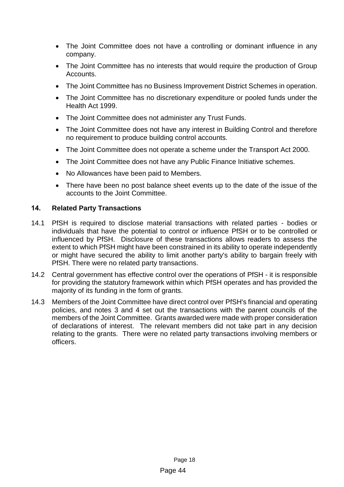- The Joint Committee does not have a controlling or dominant influence in any company.
- The Joint Committee has no interests that would require the production of Group Accounts.
- The Joint Committee has no Business Improvement District Schemes in operation.
- The Joint Committee has no discretionary expenditure or pooled funds under the Health Act 1999.
- The Joint Committee does not administer any Trust Funds.
- The Joint Committee does not have any interest in Building Control and therefore no requirement to produce building control accounts.
- The Joint Committee does not operate a scheme under the Transport Act 2000.
- The Joint Committee does not have any Public Finance Initiative schemes.
- No Allowances have been paid to Members.
- There have been no post balance sheet events up to the date of the issue of the accounts to the Joint Committee.

# **14. Related Party Transactions**

- 14.1 PfSH is required to disclose material transactions with related parties bodies or individuals that have the potential to control or influence PfSH or to be controlled or influenced by PfSH. Disclosure of these transactions allows readers to assess the extent to which PfSH might have been constrained in its ability to operate independently or might have secured the ability to limit another party's ability to bargain freely with PfSH. There were no related party transactions.
- 14.2 Central government has effective control over the operations of PfSH it is responsible for providing the statutory framework within which PfSH operates and has provided the majority of its funding in the form of grants.
- 14.3 Members of the Joint Committee have direct control over PfSH's financial and operating policies, and notes 3 and 4 set out the transactions with the parent councils of the members of the Joint Committee. Grants awarded were made with proper consideration of declarations of interest. The relevant members did not take part in any decision relating to the grants. There were no related party transactions involving members or officers.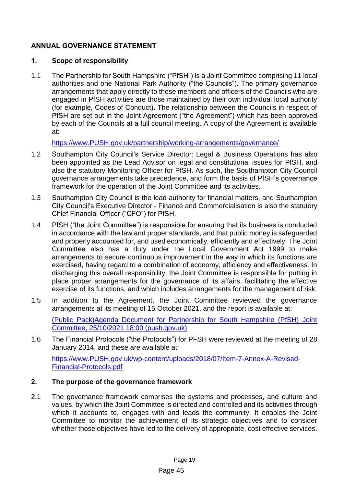# <span id="page-24-0"></span>**ANNUAL GOVERNANCE STATEMENT**

# **1. Scope of responsibility**

1.1 The Partnership for South Hampshire ("PfSH") is a Joint Committee comprising 11 local authorities and one National Park Authority ("the Councils"). The primary governance arrangements that apply directly to those members and officers of the Councils who are engaged in PfSH activities are those maintained by their own individual local authority (for example, Codes of Conduct). The relationship between the Councils in respect of PfSH are set out in the Joint Agreement ("the Agreement") which has been approved by each of the Councils at a full council meeting. A copy of the Agreement is available at:

[https://www.PUSH.gov.uk/partnership/working-arrangements/governance/](https://www.push.gov.uk/partnership/working-arrangements/governance/) 

- 1.2 Southampton City Council's Service Director: Legal & Business Operations has also been appointed as the Lead Advisor on legal and constitutional issues for PfSH, and also the statutory Monitoring Officer for PfSH. As such, the Southampton City Council governance arrangements take precedence, and form the basis of PfSH's governance framework for the operation of the Joint Committee and its activities.
- 1.3 Southampton City Council is the lead authority for financial matters, and Southampton City Council's Executive Director - Finance and Commercialisation is also the statutory Chief Financial Officer ("CFO") for PfSH.
- 1.4 PfSH ("the Joint Committee") is responsible for ensuring that its business is conducted in accordance with the law and proper standards, and that public money is safeguarded and properly accounted for, and used economically, efficiently and effectively. The Joint Committee also has a duty under the Local Government Act 1999 to make arrangements to secure continuous improvement in the way in which its functions are exercised, having regard to a combination of economy, efficiency and effectiveness. In discharging this overall responsibility, the Joint Committee is responsible for putting in place proper arrangements for the governance of its affairs, facilitating the effective exercise of its functions, and which includes arrangements for the management of risk.
- 1.5 In addition to the Agreement, the Joint Committee reviewed the governance arrangements at its meeting of 15 October 2021, and the report is available at:

[\(Public Pack\)Agenda Document for Partnership for South Hampshire \(PfSH\) Joint](https://www.push.gov.uk/wp-content/uploads/2021/10/Item-8-PfSH-Business-Plan-2021-2025-1.pdf)  [Committee, 25/10/2021 18:00 \(push.gov.uk\)](https://www.push.gov.uk/wp-content/uploads/2021/10/Item-8-PfSH-Business-Plan-2021-2025-1.pdf)

1.6 The Financial Protocols ("the Protocols") for PFSH were reviewed at the meeting of 28 January 2014, and these are available at:

[https://www.PUSH.gov.uk/wp-content/uploads/2018/07/Item-7-Annex-A-Revised-](https://www.push.gov.uk/wp-content/uploads/2018/07/Item-7-Annex-A-Revised-Financial-Protocols.pdf)[Financial-Protocols.pdf](https://www.push.gov.uk/wp-content/uploads/2018/07/Item-7-Annex-A-Revised-Financial-Protocols.pdf)

# **2. The purpose of the governance framework**

2.1 The governance framework comprises the systems and processes, and culture and values, by which the Joint Committee is directed and controlled and its activities through which it accounts to, engages with and leads the community. It enables the Joint Committee to monitor the achievement of its strategic objectives and to consider whether those objectives have led to the delivery of appropriate, cost effective services.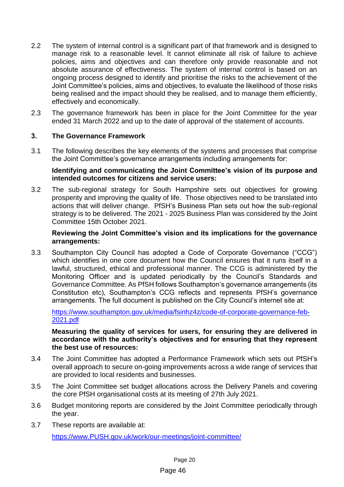- 2.2 The system of internal control is a significant part of that framework and is designed to manage risk to a reasonable level. It cannot eliminate all risk of failure to achieve policies, aims and objectives and can therefore only provide reasonable and not absolute assurance of effectiveness. The system of internal control is based on an ongoing process designed to identify and prioritise the risks to the achievement of the Joint Committee's policies, aims and objectives, to evaluate the likelihood of those risks being realised and the impact should they be realised, and to manage them efficiently, effectively and economically.
- 2.3 The governance framework has been in place for the Joint Committee for the year ended 31 March 2022 and up to the date of approval of the statement of accounts.

# **3. The Governance Framework**

3.1 The following describes the key elements of the systems and processes that comprise the Joint Committee's governance arrangements including arrangements for:

# **Identifying and communicating the Joint Committee's vision of its purpose and intended outcomes for citizens and service users:**

3.2 The sub-regional strategy for South Hampshire sets out objectives for growing prosperity and improving the quality of life. Those objectives need to be translated into actions that will deliver change. PfSH's Business Plan sets out how the sub-regional strategy is to be delivered. The 2021 - 2025 Business Plan was considered by the Joint Committee 15th October 2021.

# **Reviewing the Joint Committee's vision and its implications for the governance arrangements:**

3.3 Southampton City Council has adopted a Code of Corporate Governance ("CCG") which identifies in one core document how the Council ensures that it runs itself in a lawful, structured, ethical and professional manner. The CCG is administered by the Monitoring Officer and is updated periodically by the Council's Standards and Governance Committee. As PfSH follows Southampton's governance arrangements (its Constitution etc), Southampton's CCG reflects and represents PfSH's governance arrangements. The full document is published on the City Council's internet site at:

[https://www.southampton.gov.uk/media/fsinhz4z/code-of-corporate-governance-feb-](https://www.southampton.gov.uk/media/fsinhz4z/code-of-corporate-governance-feb-2021.pdf)[2021.pdf](https://www.southampton.gov.uk/media/fsinhz4z/code-of-corporate-governance-feb-2021.pdf)

## **Measuring the quality of services for users, for ensuring they are delivered in accordance with the authority's objectives and for ensuring that they represent the best use of resources:**

- 3.4 The Joint Committee has adopted a Performance Framework which sets out PfSH's overall approach to secure on-going improvements across a wide range of services that are provided to local residents and businesses.
- 3.5 The Joint Committee set budget allocations across the Delivery Panels and covering the core PfSH organisational costs at its meeting of 27th July 2021.
- 3.6 Budget monitoring reports are considered by the Joint Committee periodically through the year.
- 3.7 These reports are available at: [https://www.PUSH.gov.uk/work/our-meetings/joint-committee/](https://www.push.gov.uk/work/our-meetings/joint-committee/)

# Page 46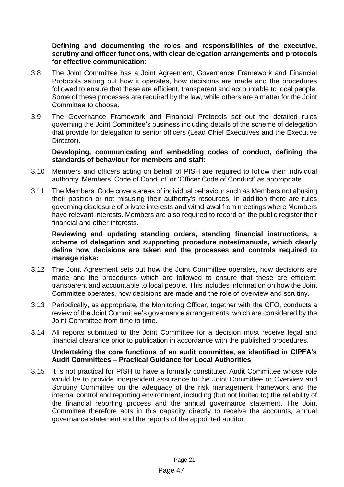**Defining and documenting the roles and responsibilities of the executive, scrutiny and officer functions, with clear delegation arrangements and protocols for effective communication:**

- 3.8 The Joint Committee has a Joint Agreement, Governance Framework and Financial Protocols setting out how it operates, how decisions are made and the procedures followed to ensure that these are efficient, transparent and accountable to local people. Some of these processes are required by the law, while others are a matter for the Joint Committee to choose.
- 3.9 The Governance Framework and Financial Protocols set out the detailed rules governing the Joint Committee's business including details of the scheme of delegation that provide for delegation to senior officers (Lead Chief Executives and the Executive Director).

# **Developing, communicating and embedding codes of conduct, defining the standards of behaviour for members and staff:**

- 3.10 Members and officers acting on behalf of PfSH are required to follow their individual authority 'Members' Code of Conduct' or 'Officer Code of Conduct' as appropriate.
- 3.11 The Members' Code covers areas of individual behaviour such as Members not abusing their position or not misusing their authority's resources. In addition there are rules governing disclosure of private interests and withdrawal from meetings where Members have relevant interests. Members are also required to record on the public register their financial and other interests.

# **Reviewing and updating standing orders, standing financial instructions, a scheme of delegation and supporting procedure notes/manuals, which clearly define how decisions are taken and the processes and controls required to manage risks:**

- 3.12 The Joint Agreement sets out how the Joint Committee operates, how decisions are made and the procedures which are followed to ensure that these are efficient, transparent and accountable to local people. This includes information on how the Joint Committee operates, how decisions are made and the role of overview and scrutiny.
- 3.13 Periodically, as appropriate, the Monitoring Officer, together with the CFO, conducts a review of the Joint Committee's governance arrangements, which are considered by the Joint Committee from time to time.
- 3.14 All reports submitted to the Joint Committee for a decision must receive legal and financial clearance prior to publication in accordance with the published procedures.

# **Undertaking the core functions of an audit committee, as identified in CIPFA's Audit Committees – Practical Guidance for Local Authorities**

3.15 It is not practical for PfSH to have a formally constituted Audit Committee whose role would be to provide independent assurance to the Joint Committee or Overview and Scrutiny Committee on the adequacy of the risk management framework and the internal control and reporting environment, including (but not limited to) the reliability of the financial reporting process and the annual governance statement. The Joint Committee therefore acts in this capacity directly to receive the accounts, annual governance statement and the reports of the appointed auditor.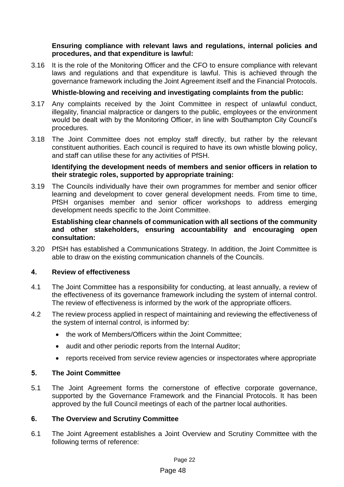# **Ensuring compliance with relevant laws and regulations, internal policies and procedures, and that expenditure is lawful:**

3.16 It is the role of the Monitoring Officer and the CFO to ensure compliance with relevant laws and regulations and that expenditure is lawful. This is achieved through the governance framework including the Joint Agreement itself and the Financial Protocols.

# **Whistle-blowing and receiving and investigating complaints from the public:**

- 3.17 Any complaints received by the Joint Committee in respect of unlawful conduct, illegality, financial malpractice or dangers to the public, employees or the environment would be dealt with by the Monitoring Officer, in line with Southampton City Council's procedures.
- 3.18 The Joint Committee does not employ staff directly, but rather by the relevant constituent authorities. Each council is required to have its own whistle blowing policy, and staff can utilise these for any activities of PfSH.

# **Identifying the development needs of members and senior officers in relation to their strategic roles, supported by appropriate training:**

3.19 The Councils individually have their own programmes for member and senior officer learning and development to cover general development needs. From time to time, PfSH organises member and senior officer workshops to address emerging development needs specific to the Joint Committee.

# **Establishing clear channels of communication with all sections of the community and other stakeholders, ensuring accountability and encouraging open consultation:**

3.20 PfSH has established a Communications Strategy. In addition, the Joint Committee is able to draw on the existing communication channels of the Councils.

# **4. Review of effectiveness**

- 4.1 The Joint Committee has a responsibility for conducting, at least annually, a review of the effectiveness of its governance framework including the system of internal control. The review of effectiveness is informed by the work of the appropriate officers.
- 4.2 The review process applied in respect of maintaining and reviewing the effectiveness of the system of internal control, is informed by:
	- the work of Members/Officers within the Joint Committee:
	- audit and other periodic reports from the Internal Auditor;
	- reports received from service review agencies or inspectorates where appropriate

# **5. The Joint Committee**

5.1 The Joint Agreement forms the cornerstone of effective corporate governance, supported by the Governance Framework and the Financial Protocols. It has been approved by the full Council meetings of each of the partner local authorities.

# **6. The Overview and Scrutiny Committee**

6.1 The Joint Agreement establishes a Joint Overview and Scrutiny Committee with the following terms of reference:

#### Page 48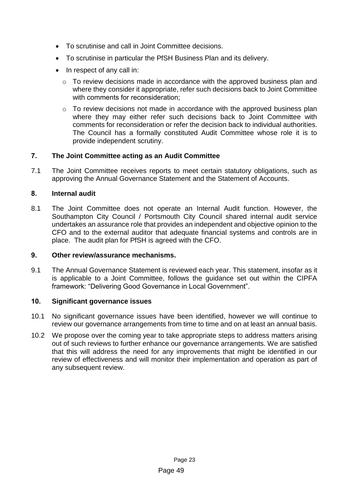- To scrutinise and call in Joint Committee decisions.
- To scrutinise in particular the PfSH Business Plan and its delivery.
- In respect of any call in:
	- o To review decisions made in accordance with the approved business plan and where they consider it appropriate, refer such decisions back to Joint Committee with comments for reconsideration;
	- o To review decisions not made in accordance with the approved business plan where they may either refer such decisions back to Joint Committee with comments for reconsideration or refer the decision back to individual authorities. The Council has a formally constituted Audit Committee whose role it is to provide independent scrutiny.

# **7. The Joint Committee acting as an Audit Committee**

7.1 The Joint Committee receives reports to meet certain statutory obligations, such as approving the Annual Governance Statement and the Statement of Accounts.

# **8. Internal audit**

8.1 The Joint Committee does not operate an Internal Audit function. However, the Southampton City Council / Portsmouth City Council shared internal audit service undertakes an assurance role that provides an independent and objective opinion to the CFO and to the external auditor that adequate financial systems and controls are in place. The audit plan for PfSH is agreed with the CFO.

# **9. Other review/assurance mechanisms.**

9.1 The Annual Governance Statement is reviewed each year. This statement, insofar as it is applicable to a Joint Committee, follows the guidance set out within the CIPFA framework: "Delivering Good Governance in Local Government".

# **10. Significant governance issues**

- 10.1 No significant governance issues have been identified, however we will continue to review our governance arrangements from time to time and on at least an annual basis.
- 10.2 We propose over the coming year to take appropriate steps to address matters arising out of such reviews to further enhance our governance arrangements. We are satisfied that this will address the need for any improvements that might be identified in our review of effectiveness and will monitor their implementation and operation as part of any subsequent review.